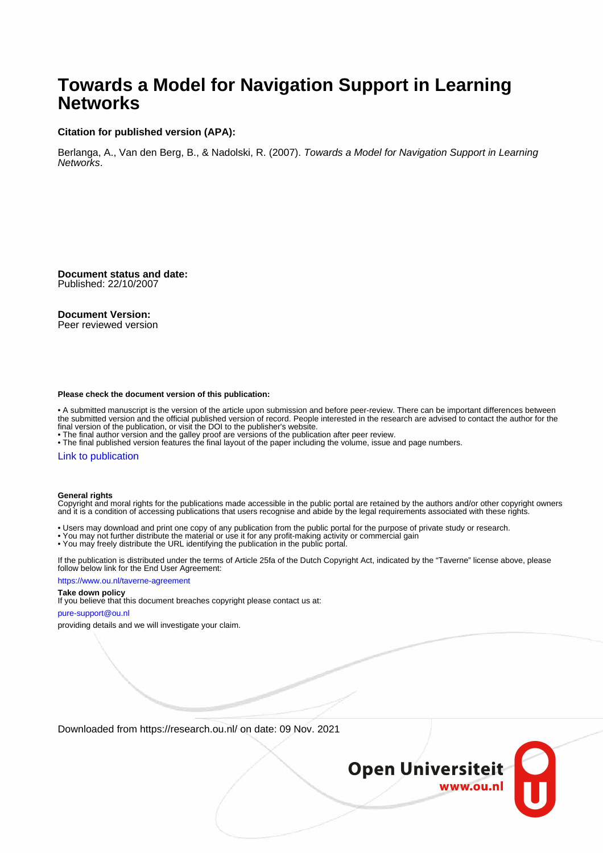#### **Towards a Model for Navigation Support in Learning Networks**

#### **Citation for published version (APA):**

Berlanga, A., Van den Berg, B., & Nadolski, R. (2007). Towards a Model for Navigation Support in Learning Networks.

**Document status and date:** Published: 22/10/2007

#### **Document Version:**

Peer reviewed version

#### **Please check the document version of this publication:**

• A submitted manuscript is the version of the article upon submission and before peer-review. There can be important differences between the submitted version and the official published version of record. People interested in the research are advised to contact the author for the final version of the publication, or visit the DOI to the publisher's website.

• The final author version and the galley proof are versions of the publication after peer review.

• The final published version features the final layout of the paper including the volume, issue and page numbers.

#### [Link to publication](https://research.ou.nl/en/publications/13d1f43f-2bfd-4daf-8cfd-9b7fe111a9d3)

#### **General rights**

Copyright and moral rights for the publications made accessible in the public portal are retained by the authors and/or other copyright owners and it is a condition of accessing publications that users recognise and abide by the legal requirements associated with these rights.

- Users may download and print one copy of any publication from the public portal for the purpose of private study or research.
- You may not further distribute the material or use it for any profit-making activity or commercial gain
- You may freely distribute the URL identifying the publication in the public portal.

If the publication is distributed under the terms of Article 25fa of the Dutch Copyright Act, indicated by the "Taverne" license above, please follow below link for the End User Agreement:

#### https://www.ou.nl/taverne-agreement

#### **Take down policy**

If you believe that this document breaches copyright please contact us at:

#### pure-support@ou.nl

providing details and we will investigate your claim.

Downloaded from https://research.ou.nl/ on date: 09 Nov. 2021

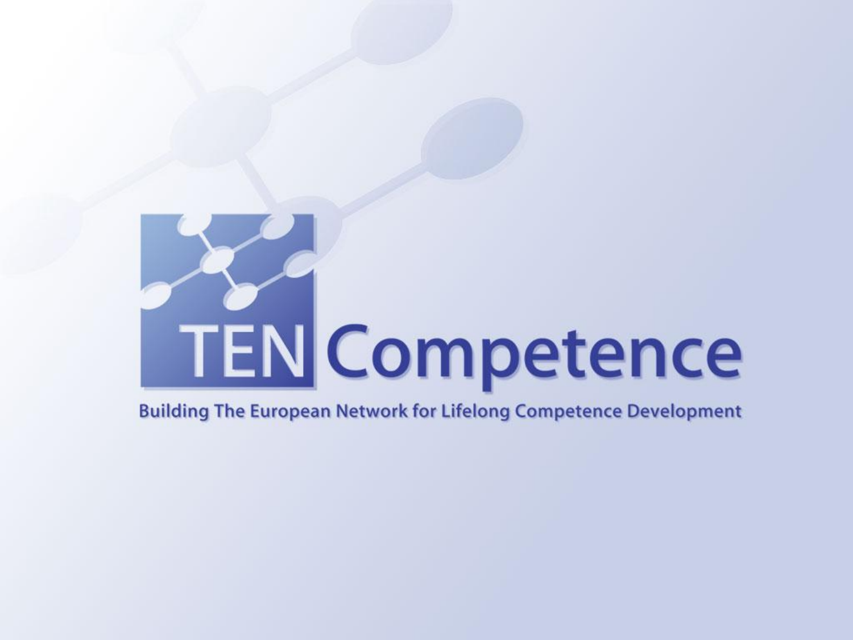# **TEN Competence**

#### **Building The European Network for Lifelong Competence Development**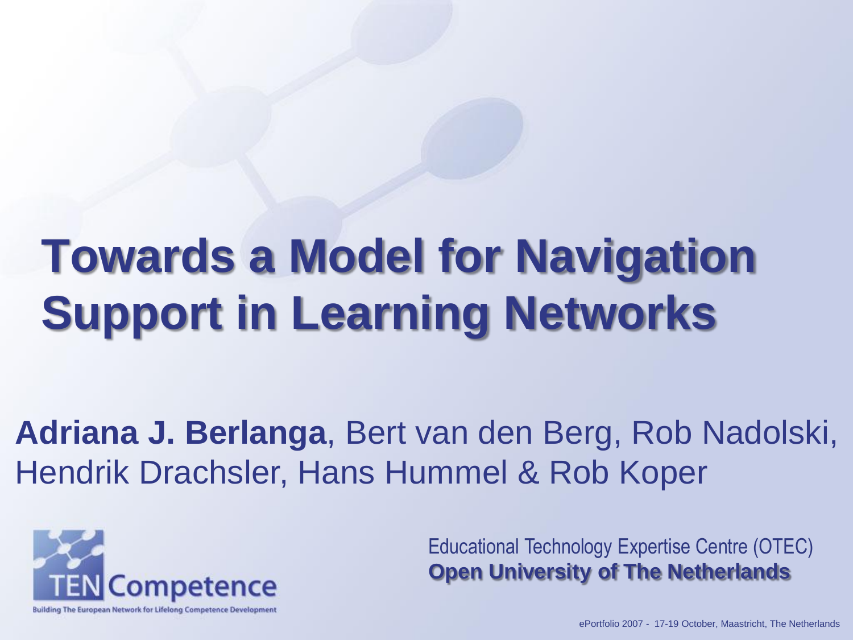## **Towards a Model for Navigation Support in Learning Networks**

**Adriana J. Berlanga**, Bert van den Berg, Rob Nadolski, Hendrik Drachsler, Hans Hummel & Rob Koper



Educational Technology Expertise Centre (OTEC) **Open University of The Netherlands**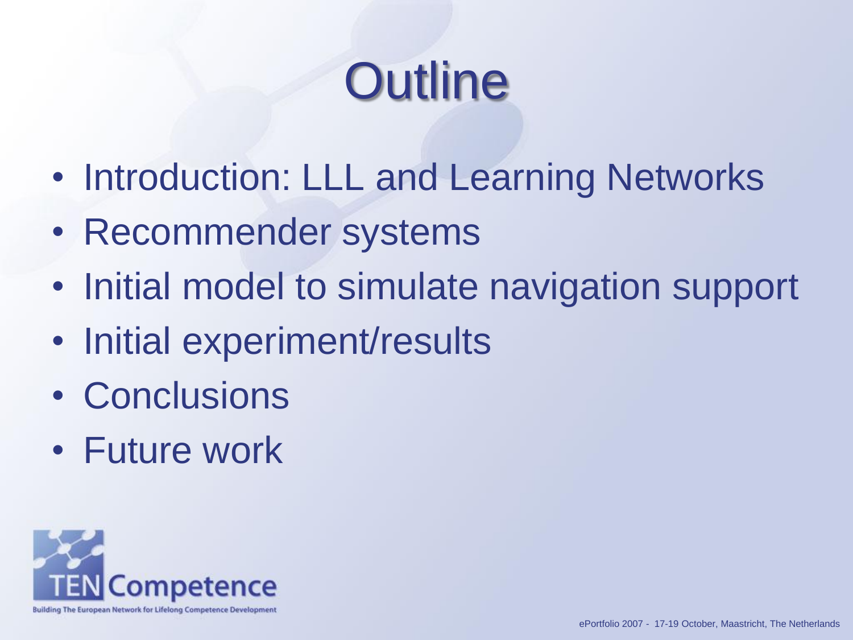# **Outline**

- Introduction: LLL and Learning Networks
- Recommender systems
- Initial model to simulate navigation support
- Initial experiment/results
- Conclusions
- Future work

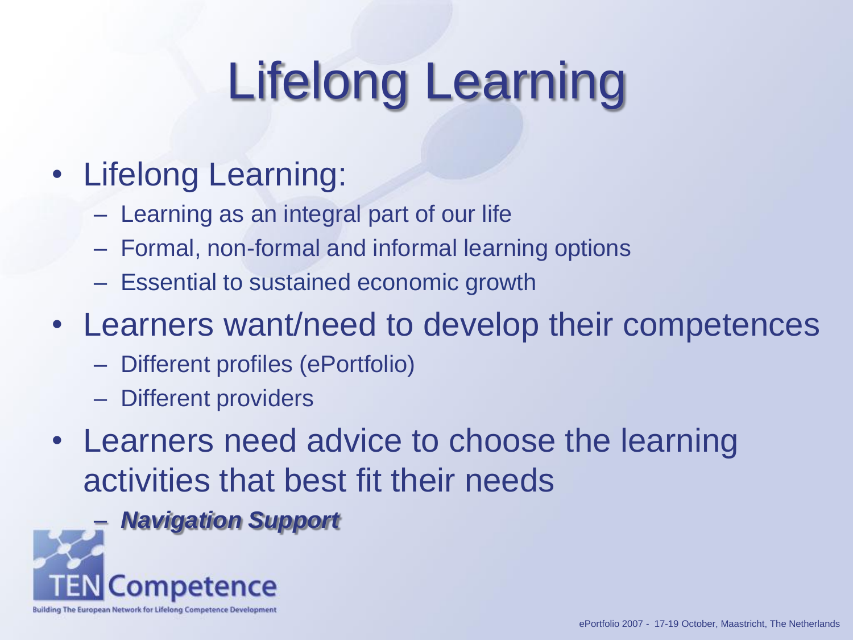# Lifelong Learning

#### • Lifelong Learning:

- Learning as an integral part of our life
- Formal, non-formal and informal learning options
- Essential to sustained economic growth
- Learners want/need to develop their competences
	- Different profiles (ePortfolio)
	- Different providers
- Learners need advice to choose the learning activities that best fit their needs

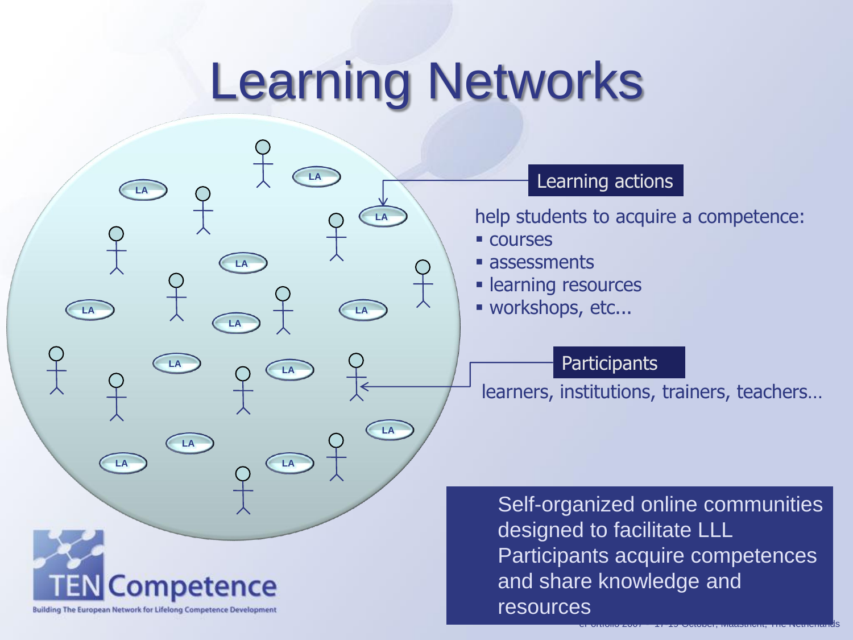## Learning Networks

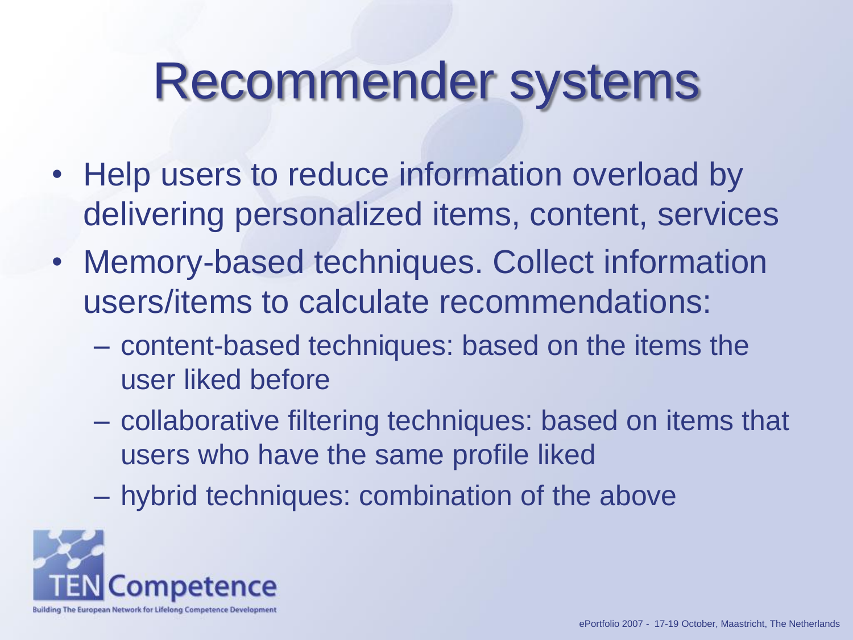## Recommender systems

- Help users to reduce information overload by delivering personalized items, content, services
- Memory-based techniques. Collect information users/items to calculate recommendations:
	- content-based techniques: based on the items the user liked before
	- collaborative filtering techniques: based on items that users who have the same profile liked
	- hybrid techniques: combination of the above

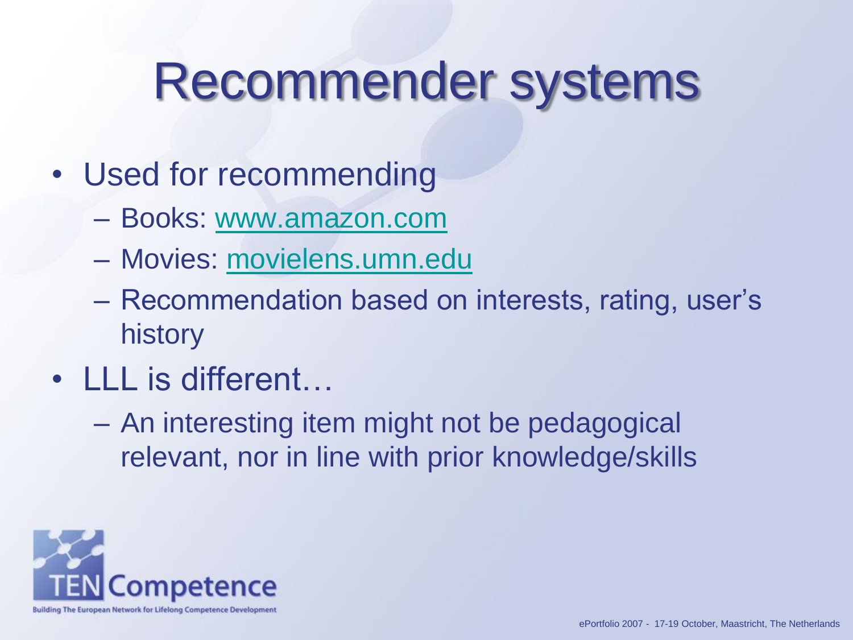## Recommender systems

- Used for recommending
	- Books: [www.amazon.com](http://www.amazon.com/)
	- Movies: [movielens.umn.edu](http://movielens.umn.edu/)
	- Recommendation based on interests, rating, user's history
- LLL is different...
	- An interesting item might not be pedagogical relevant, nor in line with prior knowledge/skills

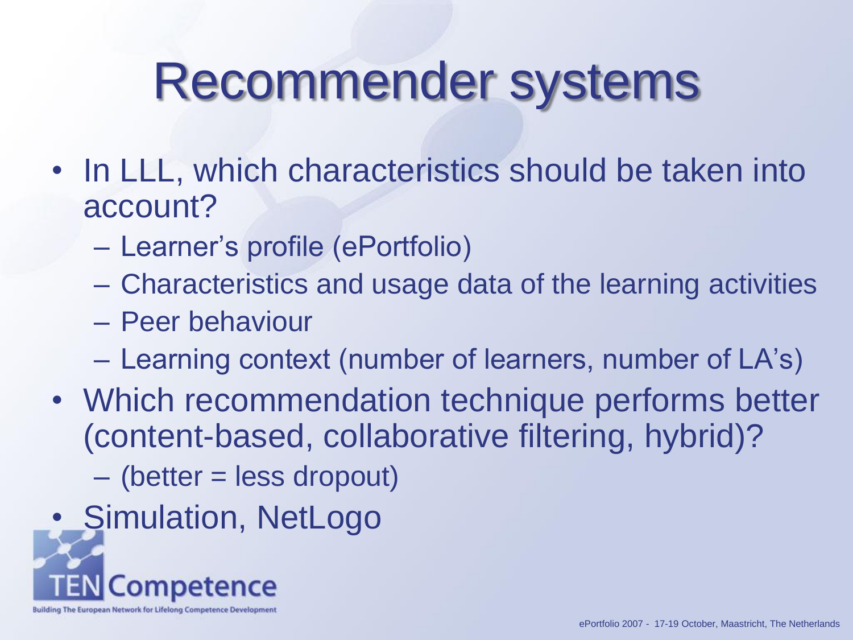#### Recommender systems

- In LLL, which characteristics should be taken into account?
	- Learner's profile (ePortfolio)
	- Characteristics and usage data of the learning activities
	- Peer behaviour
	- Learning context (number of learners, number of LA's)
- Which recommendation technique performs better (content-based, collaborative filtering, hybrid)?
	- (better = less dropout)
- Simulation, NetLogo

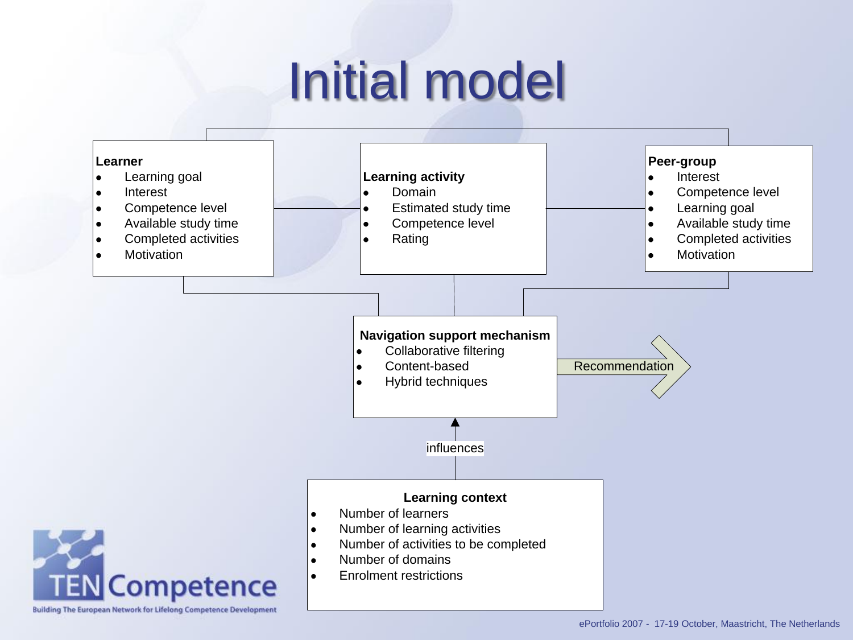# Initial model

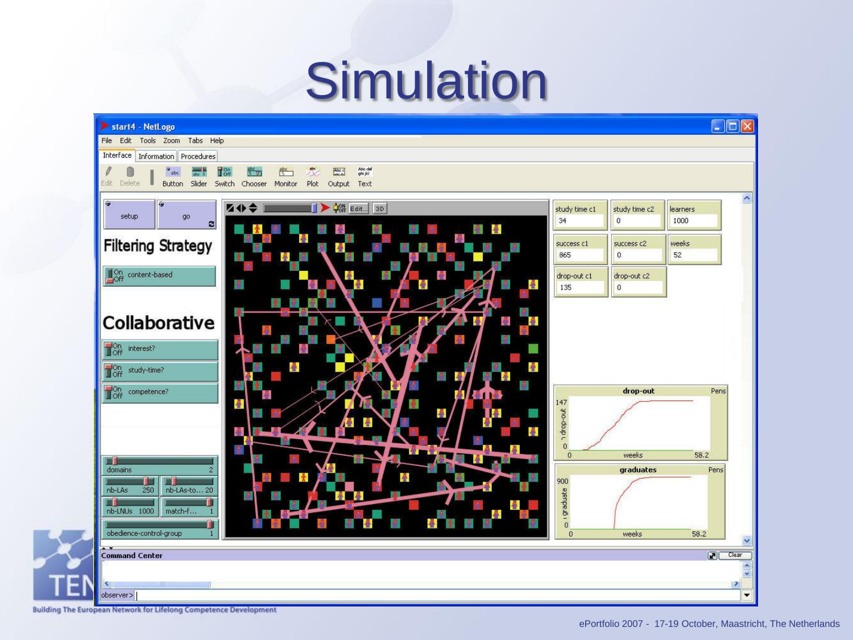## **Simulation**



Building The European Network for Lifelong Competence Development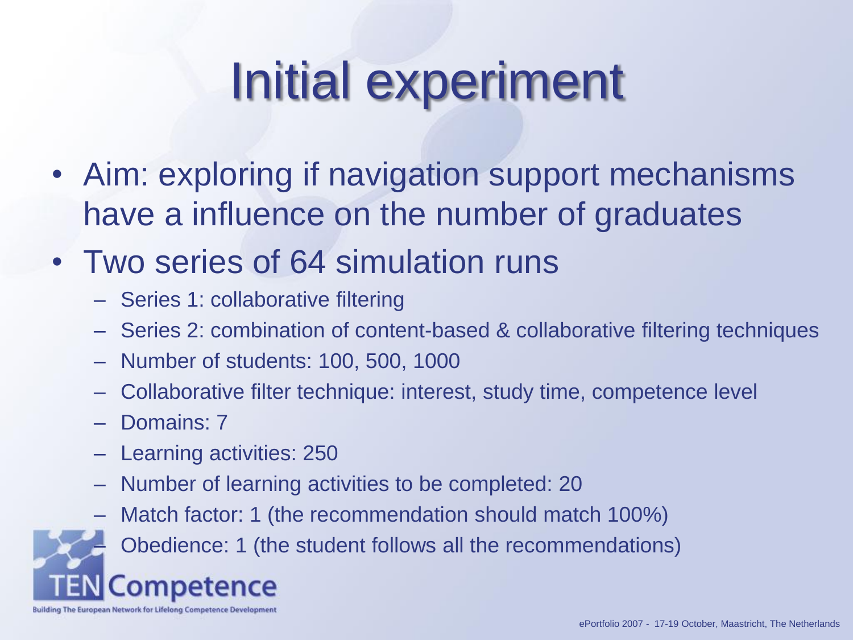# Initial experiment

• Aim: exploring if navigation support mechanisms have a influence on the number of graduates

#### • Two series of 64 simulation runs

- Series 1: collaborative filtering
- Series 2: combination of content-based & collaborative filtering techniques
- Number of students: 100, 500, 1000
- Collaborative filter technique: interest, study time, competence level
- Domains: 7
- Learning activities: 250
- Number of learning activities to be completed: 20
- Match factor: 1 (the recommendation should match 100%)

– Obedience: 1 (the student follows all the recommendations)

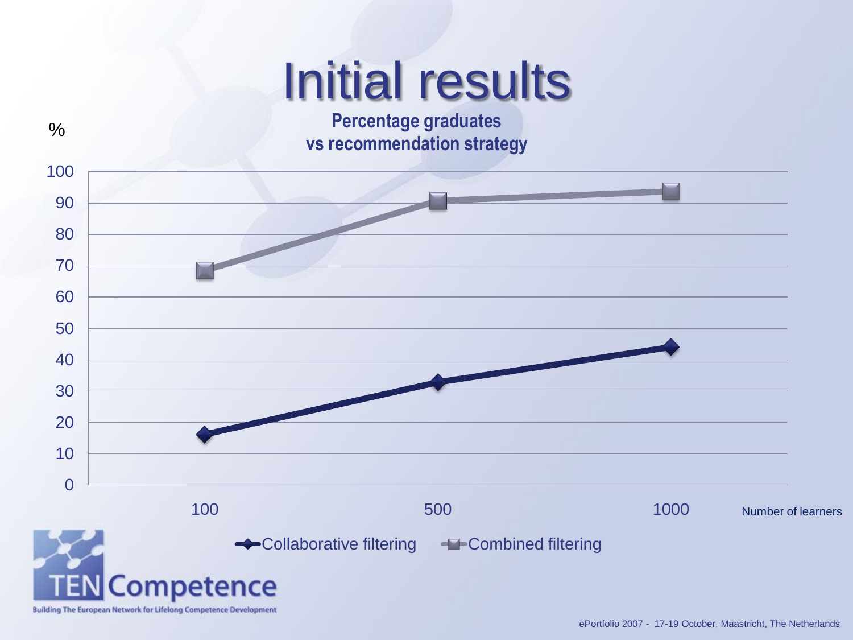## Initial results

**Percentage graduates vs recommendation strategy**

 $\frac{0}{0}$ 

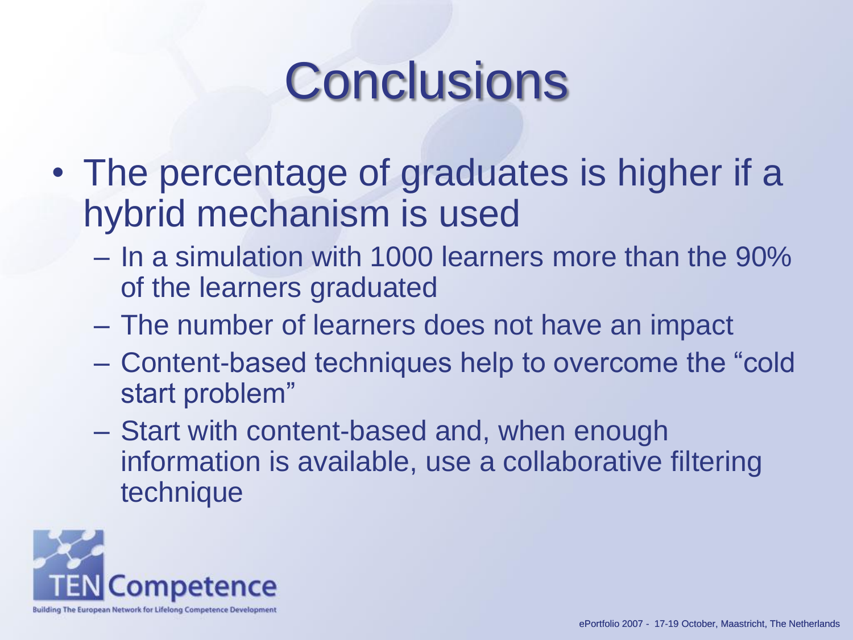## **Conclusions**

- The percentage of graduates is higher if a hybrid mechanism is used
	- In a simulation with 1000 learners more than the 90% of the learners graduated
	- The number of learners does not have an impact
	- Content-based techniques help to overcome the "cold start problem"
	- Start with content-based and, when enough information is available, use a collaborative filtering technique

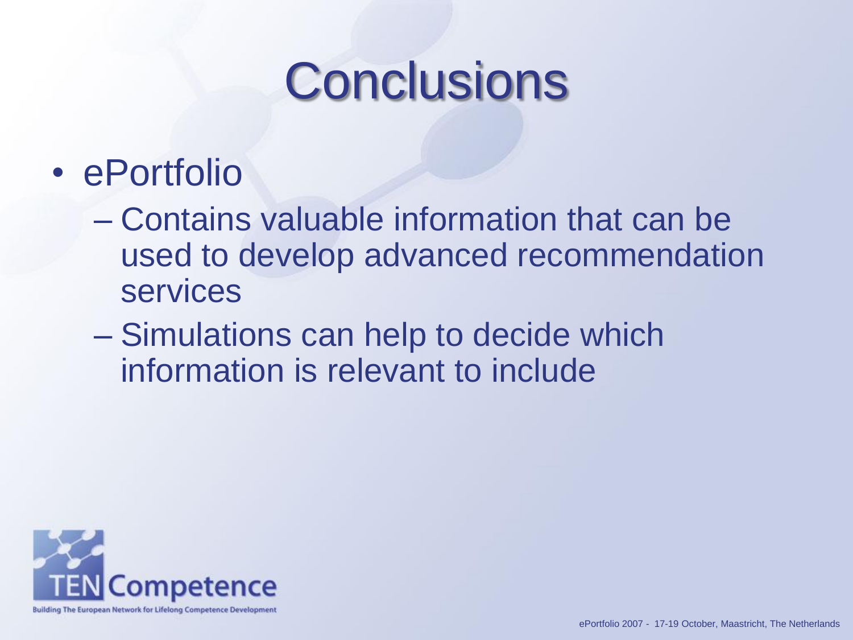## **Conclusions**

- ePortfolio
	- Contains valuable information that can be used to develop advanced recommendation services
	- Simulations can help to decide which information is relevant to include

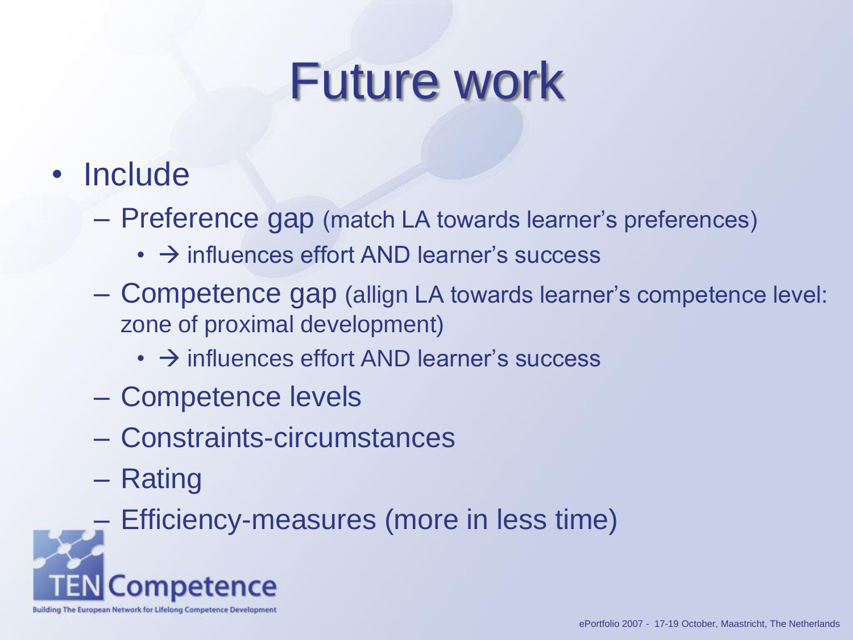## Future work

- Include
	- Preference gap (match LA towards learner's preferences)
		- $\cdot$   $\rightarrow$  influences effort AND learner's success
	- Competence gap (allign LA towards learner's competence level: zone of proximal development)
		- $\cdot$   $\rightarrow$  influences effort AND learner's success
	- Competence levels
	- Constraints-circumstances
	- Rating